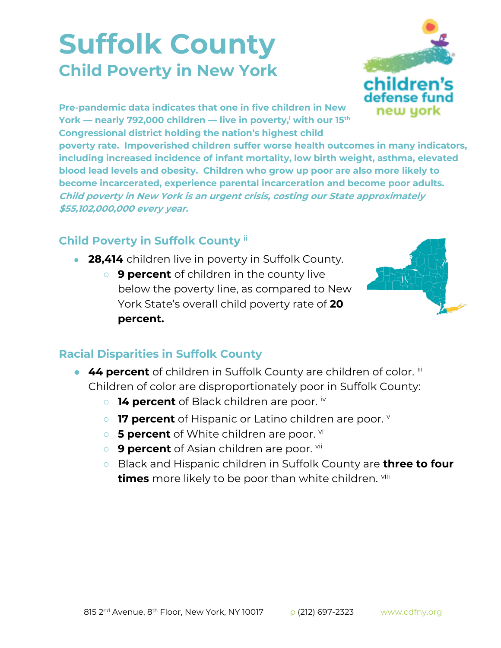## **Suffolk County Child Poverty in New York**



**Pre-pandemic data indicates that one in five children in New York — nearly 792,000 children — live in poverty,<sup>i</sup> with our 15th Congressional district holding the nation's highest child** 

**poverty rate. Impoverished children suffer worse health outcomes in many indicators, including increased incidence of infant mortality, low birth weight, asthma, elevated blood lead levels and obesity. Children who grow up poor are also more likely to become incarcerated, experience parental incarceration and become poor adults. Child poverty in New York is an urgent crisis, costing our State approximately \$55,102,000,000 every year.**

## **Child Poverty in Suffolk County ii**

- **28,414** children live in poverty in Suffolk County.
	- **9 percent** of children in the county live below the poverty line, as compared to New York State's overall child poverty rate of **20 percent.**



## **Racial Disparities in Suffolk County**

- **44 percent** of children in Suffolk County are children of color. iii Children of color are disproportionately poor in Suffolk County:
	- **14 percent** of Black children are poor. iv
	- **17 percent** of Hispanic or Latino children are poor. **v**
	- **5 percent** of White children are poor. <sup>vi</sup>
	- **9 percent** of Asian children are poor. <sup>vii</sup>
	- Black and Hispanic children in Suffolk County are **three to four times** more likely to be poor than white children. viii